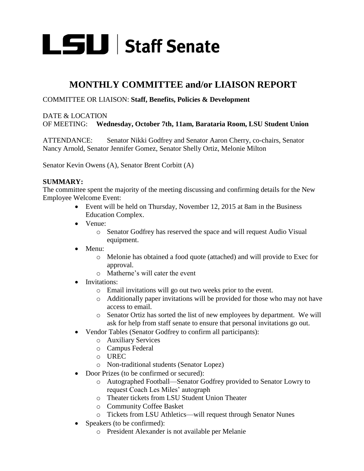

# **MONTHLY COMMITTEE and/or LIAISON REPORT**

### COMMITTEE OR LIAISON: **Staff, Benefits, Policies & Development**

### DATE & LOCATION OF MEETING: **Wednesday, October 7th, 11am, Barataria Room, LSU Student Union**

ATTENDANCE: Senator Nikki Godfrey and Senator Aaron Cherry, co-chairs, Senator Nancy Arnold, Senator Jennifer Gomez, Senator Shelly Ortiz, Melonie Milton

Senator Kevin Owens (A), Senator Brent Corbitt (A)

#### **SUMMARY:**

The committee spent the majority of the meeting discussing and confirming details for the New Employee Welcome Event:

- Event will be held on Thursday, November 12, 2015 at 8am in the Business Education Complex.
- Venue:
	- o Senator Godfrey has reserved the space and will request Audio Visual equipment.
- Menu:
	- o Melonie has obtained a food quote (attached) and will provide to Exec for approval.
	- o Matherne's will cater the event
- Invitations:
	- o Email invitations will go out two weeks prior to the event.
	- o Additionally paper invitations will be provided for those who may not have access to email.
	- o Senator Ortiz has sorted the list of new employees by department. We will ask for help from staff senate to ensure that personal invitations go out.
- Vendor Tables (Senator Godfrey to confirm all participants):
	- o Auxiliary Services
		- o Campus Federal
		- o UREC
		- o Non-traditional students (Senator Lopez)
- Door Prizes (to be confirmed or secured):
	- o Autographed Football—Senator Godfrey provided to Senator Lowry to request Coach Les Miles' autograph
	- o Theater tickets from LSU Student Union Theater
	- o Community Coffee Basket
	- o Tickets from LSU Athletics—will request through Senator Nunes
- Speakers (to be confirmed):
	- o President Alexander is not available per Melanie